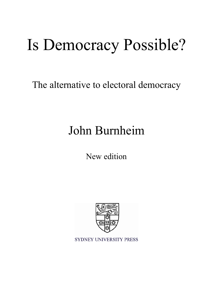# Is Democracy Possible?

The alternative to electoral democracy

# John Burnheim

New edition



SYDNEY UNIVERSITY PRESS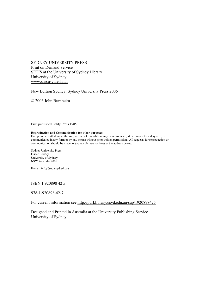SYDNEY UNIVERSITY PRESS Print on Demand Service SETIS at the University of Sydney Library University of Sydney www.sup.usyd.edu.au

New Edition Sydney: Sydney University Press 2006

© 2006 John Burnheim

First published Polity Press 1985.

#### **Reproduction and Communication for other purposes**

Except as permitted under the Act, no part of this edition may be reproduced, stored in a retrieval system, or communicated in any form or by any means without prior written permission. All requests for reproduction or communication should be made to Sydney University Press at the address below:

Sydney University Press Fisher Library University of Sydney NSW Australia 2006

E-mail: info@sup.usyd.edu.au

ISBN 1 920898 42 5

978-1-920898-42-7

For current information see http://purl.library.usyd.edu.au/sup/1920898425

Designed and Printed in Australia at the University Publishing Service University of Sydney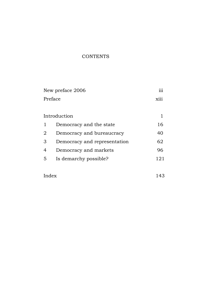# **CONTENTS**

| Preface<br>Introduction<br>1<br>Democracy and the state<br>Democracy and bureaucracy<br>2<br>3<br>Democracy and representation | X111 |
|--------------------------------------------------------------------------------------------------------------------------------|------|
|                                                                                                                                |      |
|                                                                                                                                |      |
|                                                                                                                                | 1    |
|                                                                                                                                | 16   |
|                                                                                                                                | 40   |
|                                                                                                                                | 62   |
| 4<br>Democracy and markets                                                                                                     | 96   |
| 5<br>Is demarchy possible?                                                                                                     | 121  |

# Index 143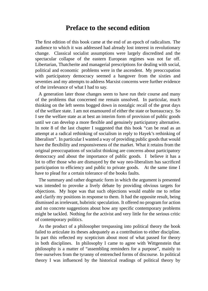# **Preface to the second edition**

The first edition of this book came at the end of an epoch of radicalism. The audience to which it was addressed had already lost interest in revolutionary change. Classical socialist assumptions were largely discredited and the spectacular collapse of the eastern European regimes was not far off. Libertarian, Thatcherite and managerial prescriptions for dealing with social, political and economic problems were in the ascendent. My preoccupation with participatory democracy seemed a hangover from the sixties and seventies and my attempts to address Marxist concerns were further evidence of the irrelevance of what I had to say.

A generation later those changes seem to have run their course and many of the problems that concerned me remain unsolved. In particular, much thinking on the left seems bogged down in nostalgic recall of the great days of the welfare state. I am not enamoured of either the state or bureaucracy. So I see the welfare state as at best an interim form of provision of public goods until we can develop a more flexible and genuinely participatory alternative. In note 8 of the last chapter I suggested that this book "can be read as an attempt at a radical rethinking of socialism in reply to Hayek's rethinking of liberalism". In particular I wanted a way of providing public goods that would have the flexibility and responsiveness of the market. What it retains from the original preoccupations of socialist thinking are concerns about participatory democracy and about the importance of public goods. I believe it has a lot to offer those who are dismayed by the way neo-liberalism has sacrificed participation to efficiency and public to private goods. At the same time I have to plead for a certain tolerance of the books faults.

The summary and rather dogmatic form in which the argument is presented was intended to provoke a lively debate by providing obvious targets for objections. My hope was that such objections would enable me to refine and clarify my positions in response to them. It had the opposite result, being dismissed as irrelevant, hubristic speculation. It offered no program for action and no concrete suggestions about how any specific contemporary problems might be tackled. Nothing for the activist and very little for the serious critic of contemporary politics.

As the product of a philosopher trespassing into political theory the book failed to articulate its theses adequately as a contribution to either discipline. In part this reflected my scepticism about most of what passed for theory in both disciplines. In philosophy I came to agree with Wittgenstein that philosophy is a matter of "assembling reminders for a purpose", mainly to free ourselves from the tyranny of entrenched forms of discourse. In political theory I was influenced by the historical readings of political theory by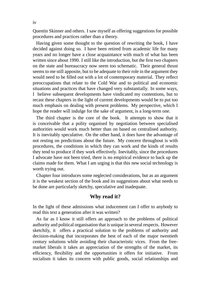Quentin Skinner and others. I saw myself as offering suggestions for possible procedures and practices rather than a theory.

Having given some thought to the question of rewriting the book, I have decided against doing so. I have been retired from academic life for many years and no longer have a close acquaintance with much of what has been written since about 1990. I still like the introduction, but the first two chapters on the state and bureaucracy now seem too schematic. Their general thrust seems to me still apposite, but to be adequate to their role in the argument they would need to be filled out with a lot of contemporary material. They reflect preoccupations that relate to the Cold War and to political and economic situations and practices that have changed very substantially. In some ways, I believe subsequent developments have vindicated my contentions, but to recast these chapters in the light of current developments would be to put too much emphasis on dealing with present problems. My perspective, which I hope the reader will indulge for the sake of argument, is a long-term one.

The third chapter is the core of the book. It attempts to show that it is conceivable that a polity organised by negotiation between specialised authorities would work much better than on based on centralised authority. It is inevitably speculative. On the other hand, it does have the advantage of not resting on predictions about the future. My concern throughout is with procedures, the conditions in which they can work and the kinds of results they tend to produce if they work effectively. Inevitably, since the procedures I advocate have not been tried, there is no empirical evidence to back up the claims made for them. What I am urging is that this new social technology is worth trying out.

Chapter four introduces some neglected considerations, but as an argument it is the weakest section of the book and its suggestions about what needs to be done are particularly sketchy, speculative and inadequate.

#### **Why read it?**

In the light of these admissions what inducement can I offer to anybody to read this text a generation after it was written?

As far as I know it still offers an approach to the problems of political authority and political organisation that is unique in several respects. However sketchily, it offers a practical solution to the problems of authority and decision-making that incorporates the best of each of the major twentieth century solutions while avoiding their characteristic vices. From the freemarket liberals it takes an appreciation of the strengths of the market, its efficiency, flexibility and the opportunities it offers for initiative. From socialism it takes its concern with public goods, social relationships and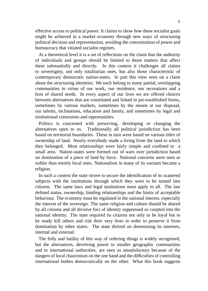effective access to political power. It claims to show how these socialist goals might be achieved in a market economy through new ways of structuring political decision and representation, avoiding the concentration of power and bureaucracy that vitiated socialist regimes.

At a theoretical level it is a set of reflections on the claim that the authority of individuals and groups should be limited to those matters that affect them substantially and directly. In this context it challenges all claims to sovereignty, not only totalitarian ones, but also those characteristic of contemporary democratic nation-states. In part this view rests on a claim about the structuring identities. We each belong to many partial, overlapping communities in virtue of our work, our residence, our recreations and a host of shared needs. In every aspect of our lives we are offered choices between alternatives that are constituted and linked in pre-established forms, sometimes by various markets, sometimes by the means at our disposal, our talents, inclinations, education and family, and sometimes by legal and institutional constraints and opportunities.

Politics is concerned with preserving, developing or changing the alternatives open to us. Traditionally all political jurisdiction has been based on territorial boundaries. These in turn were based on various titles of ownership of land. Nearly everybody made a living from the land to which they belonged. Most relationships were fairly simple and confined to a small area. Nation-states were formed out of wars over jurisdiction based on domination of a piece of land by force. National concerns were seen as nobler than merely local ones. Nationalism in many of its variants became a religion.

In such a context the state strove to secure the identification of its scattered subjects with the institutions through which they were to be turned into citizens. The same laws and legal institutions must apply to all. The law defined status, ownership, binding relationships and the limits of acceptable behaviour. The economy must be regulated in the national interest, especially the interest of the sovereign. The same religion and culture should be shared by all citizens and all divisive foci of identity suppressed or coopted into the national identity. The state required its citizens not only to be loyal but to be ready kill others and risk their very lives in order to preserve it from domination by other states. The state thrived on demonising its enemies, internal and external.

The folly and futility of this way of ordering things is widely recognised, but the alternatives, devolving power to smaller geographic communities and to international authorities, are seen as unsatisfactory because of the dangers of local chauvinism on the one hand and the difficulties of controlling international bodies democratically on the other. What this book suggests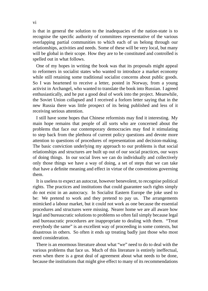is that in general the solution to the inadequacies of the nation-state is to recognise the specific authority of committees representative of the various overlapping partial communities to which each of us belong through our relationships, activities and needs. Some of these will be very local, but many will be global in their scope. How they are to be constituted and controlled is spelled out in what follows.

One of my hopes in writing the book was that its proposals might appeal to reformers in socialist states who wanted to introduce a market economy while still retaining some traditional socialist concerns about public goods. So I was heartened to receive a letter, posted in Norway, from a young activist in Archangel, who wanted to translate the book into Russian. I agreed enthusiastically, and he put a good deal of work into the project. Meanwhile, the Soviet Union collapsed and I received a forlorn letter saying that in the new Russia there was little prospect of its being published and less of it receiving serious attention.

I still have some hopes that Chinese reformists may find it interesting. My main hope remains that people of all sorts who are concerned about the problems that face our contemporary democracies may find it stimulating to step back from the plethora of current policy questions and devote more attention to questions of procedures of representation and decision-making. The basic conviction underlying my approach to our problems is that social relationships and structures are built up out of our social practices, our ways of doing things. In our social lives we can do individually and collectively only those things we have a way of doing, a set of steps that we can take that have a definite meaning and effect in virtue of the conventions governing them.

It is useless to expect an autocrat, however benevolent, to recognise political rights. The practices and institutions that could guarantee such rights simply do not exist in an autocracy. In Socialist Eastern Europe the joke used to be: We pretend to work and they pretend to pay us. The arrangements mimicked a labour market, but it could not work as one because the essential procedures and structures were missing. Nearer home we are all aware how legal and bureaucratic solutions to problems so often fail simply because legal and bureaucratic procedures are inappropriate to dealing with them. "Treat everybody the same" is an excellent way of proceeding in some contexts, but disastrous in others. So often it ends up treating badly just those who most need consideration.

There is an enormous literature about what "we" need to do to deal with the various problems that face us. Much of this literature is entirely ineffectual, even when there is a great deal of agreement about what needs to be done, because the institutions that might give effect to many of its recommendations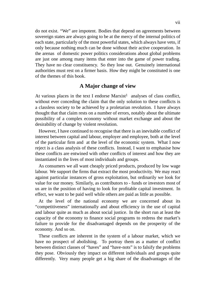do not exist. "We" are impotent. Bodies that depend on agreements between sovereign states are always going to be at the mercy of the internal politics of each state, particularly of the most powerful states, which always have veto, if only because nothing much can be done without their active cooperation. In the arenas of domestic power politics considerations about global problems are just one among many items that enter into the game of power trading. They have no clear constituency. So they lose out. Genuinely international authorities must rest on a firmer basis. How they might be constituted is one of the themes of this book.

#### **A Major change of view**

At various places in the text I endorse Marxist<sup>1</sup> analyses of class conflict, without ever conceding the claim that the only solution to these conflicts is a classless society to be achieved by a proletarian revolution. I have always thought that that claim rests on a number of errors, notably about the ultimate possibility of a complex economy without market exchange and about the desirability of change by violent revolution.

However, I have continued to recognise that there is an inevitable conflict of interest between capital and labour, employer and employee, both at the level of the particular firm and at the level of the economic system. What I now reject is a class analysis of these conflicts. Instead, I want to emphasise how these conflicts are entwined with other conflicts of interest and how they are instantiated in the lives of most individuals and groups.

As consumers we all want cheaply priced products, produced by low wage labour. We support the firms that extract the most productivity. We may react against particular instances of gross exploitation, but ordinarily we look for value for our money. Similarly, as contributors to - funds or investors most of us are in the position of having to look for profitable capital investment. In effect, we want to be paid well while others are paid as little as possible.

At the level of the national economy we are concerned about its "competitiveness" internationally and about efficiency in the use of capital and labour quite as much as about social justice. In the short run at least the capacity of the economy to finance social programs to redress the market's failure to provide for the disadvantaged depends on the prosperity of the economy. And so on.

These conflicts are inherent in the system of a labour market, which we have no prospect of abolishing. To portray them as a matter of conflict between distinct classes of "haves" and "have-nots" is to falsify the problems they pose. Obviously they impact on different individuals and groups quite differently. Very many people get a big share of the disadvantages of the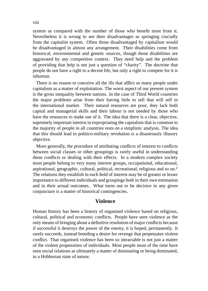system as compared with the number of those who benefit most from it. Nevertheless it is wrong to see their disadvantages as springing crucially from the capitalist system. Often those disadvantaged by capitalism would be disadvantaged in almost any arrangement. Their disabilities come from historical, environmental and genetic sources, though those disabilities are aggravated by any competitive context. They need help and the problem of providing that help is not just a question of "charity". The doctrine that people do not have a right to a decent life, but only a right to compete for it is inhuman.

There is no reason to conceive all the ills that afflict so many people under capitalism as a matter of exploitation. The worst aspect of our present system is the gross inequality between nations. In the case of Third World countries the major problems arise from their having little to sell that will sell in the international market. Their natural resources are poor, they lack both capital and managerial skills and their labour is not needed by those who have the resources to make use of it. The idea that there is a clear, objective, supremely important interest in expropriating the capitalists that is common to the majority of people in all countries rests on a simplistic analysis. The idea that this should lead to politico-military revolution is a disastrously illusory objective.

More generally, the procedure of attributing conflicts of interest to conflicts between social classes or other groupings is rarely useful in understanding these conflicts or dealing with their effects. In a modern complex society most people belong to very many interest groups, occupational, educational, aspirational, geographic, cultural, political, recreational, religious and so on.2 The relations they establish in each field of interest may be of greater or lesser importance to different individuals and groupings both in their own estimation and in their actual outcomes. What turns out to be decisive in any given conjuncture is a matter of historical contingencies.

#### **Violence**

Human history has been a history of organised violence based on religious, cultural, political and economic conflicts. People have seen violence as the only means of bringing about a definitive resolution of major conflicts because if successful it destroys the power of the enemy, it is hoped, permanently. It rarely succeeds, instead breeding a desire for revenge that perpetuates violent conflict. That organised violence has been so intractable is not just a matter of the violent propensities of individuals. Most people most of the time have seen social relations as ultimately a matter of dominating or being dominated, in a Hobbesian state of nature.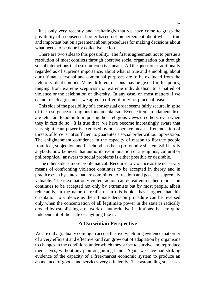It is only very recently and hesitatingly that we have come to grasp the possibility of a consensual order based not on agreement about what is true and important but on agreement about procedures for making decisions about what needs to be done by collective action.

There are two sides to this possibility. The first is agreement not to pursue a resolution of most conflicts through coercive social organisation but through social interactions that use non-coercive means. All the questions traditionally regarded as of supreme importance, about what is true and ennobling, about our ultimate personal and communal purposes are to be excluded from the field of violent conflict. Many different reasons may be given for this policy, ranging from extreme scepticism or extreme individualism to a hatred of violence or the celebration of diversity. In any case, on most matters if we cannot reach agreement we agree to differ, if only for practical reasons.

This side of the possibility of a consensual order seems fairly secure, in spite of the resurgence of religious fundamentalism. Even extreme fundamentalists are reluctant to admit to imposing their religious views on others, even when they in fact do so. It is true that we have become increasingly aware that very significant power is exercised by non-coercive means. Renunciation of threats of force is not sufficient to guarantee a social order without oppression. The enlightenment confidence in the capacity of reason to liberate people from fear, subjection and falsehood has been profoundly shaken. Still hardly anybody now believes that authoritative imposition of a religious, cultural or philosophical answers to social problems is either possible or desirable.

The other side is more problematical. Recourse to violence as the necessary means of confronting violence continues to be accepted in theory and in practice even by states that are committed to freedom and peace as supremely valuable. The idea that only violent action can defeat entrenched repression continues to be accepted not only by extremists but by most people, albeit reluctantly, in the name of realism. In this book I have argued that this orientation to violence as the ultimate decision procedure can be reversed only when the concentration of all legitimate power in the state is radically eroded by establishing a network of authoritative institutions that are quite independent of the state or anything like it.

#### **A Darwinian Perspective**

We are only gradually coming to accept the overwhelming evidence that order of a very efficient and effective kind can grow out of adaptation by organisms to changes in the conditions under which they strive to survive and reproduce themselves, without any plan or guiding hand. Again we have had striking evidence of the capacity of a free-market economic system to produce an abundance of goods and services very efficiently. The astounding successes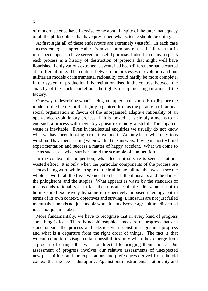of modern science have likewise come about in spite of the utter inadequacy of all the philosophies that have prescribed what science should be doing.

At first sight all of these endeavours are extremely wasteful. In each case success emerges unpredictably from an enormous mass of failures that in retrospect appear to have served no useful purpose. Indeed, in many respects each process is a history of destruction of projects that might well have flourished if only various extraneous events had been different or had occurred at a different time. The contrast between the processes of evolution and our utilitarian models of instrumental rationality could hardly be more complete. In our system of production it is institutionalised in the contrast between the anarchy of the stock market and the tightly disciplined organisation of the factory.

One way of describing what is being attempted in this book is to displace the model of the factory or the tightly organised firm as the paradigm of rational social organisation in favour of the unorganised adaptive rationality of an open-ended evolutionary process. If it is looked at as simply a means to an end such a process will inevitably appear extremely wasteful. The apparent waste is inevitable. Even in intellectual enquiries we usually do not know what we have been looking for until we find it. We only learn what questions we should have been asking when we find the answers. Living is mostly blind experimentation and success a matter of happy accident. What we come to see as success is what survives amid the scramble of competition.

In the context of competition, what does not survive is seen as failure, wasted effort. It is only when the particular components of the process are seen as being worthwhile, in spite of their ultimate failure, that we can see the whole as worth all the fuss. We need to cherish the dinosaurs and the dodos, the phlogistons and the utopias. What appears as waste by the standards of means-ends rationality is in fact the substance of life. Its value is not to be measured exclusively by some retrospectively imposed teleology but in terms of its own context, objectives and striving. Dinosaurs are not just failed mammals, nomads not just people who did not discover agriculture, discarded ideas not just mistakes.

More fundamentally, we have to recognise that in every kind of progress something is lost. There is no philosophical measure of progress that can stand outside the process and decide what constitutes genuine progress and what is a departure from the right order of things. The fact is that we can come to envisage certain possibilities only when they emerge from a process of change that was not directed to bringing them about. Our assessment of progress involves our relative assessments of unexpected new possibilities and the expectations and preferences derived from the old context that the new is disrupting. Against both instrumental rationality and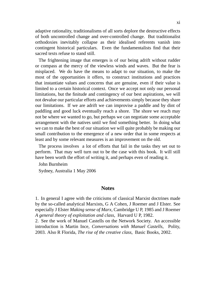adaptive rationality, traditionalisms of all sorts deplore the destructive effects of both uncontrolled change and over-controlled change. But traditionalist orthodoxies inevitably collapse as their idealised referents vanish into contingent historical particulars. Even the fundamentalists find that their sacred texts refuse to stand still.

The frightening image that emerges is of our being adrift without rudder or compass at the mercy of the viewless winds and waves. But the fear is misplaced. We do have the means to adapt to our situation, to make the most of the opportunities it offers, to construct institutions and practices that instantiate values and concerns that are genuine, even if their value is limited to a certain historical context. Once we accept not only our personal limitations, but the finitude and contingency of our best aspirations, we will not devalue our particular efforts and achievements simply because they share our limitations. If we are adrift we can improvise a paddle and by dint of paddling and good luck eventually reach a shore. The shore we reach may not be where we wanted to go, but perhaps we can negotiate some acceptable arrangement with the natives until we find something better. In doing what we can to make the best of our situation we will quite probably be making our small contribution to the emergence of a new order that in some respects at least and by some relevant measures is an improvement on the old.

The process involves a lot of efforts that fail in the tasks they set out to perform. That may well turn out to be the case with this book. It will still have been worth the effort of writing it, and perhaps even of reading it.

John Burnheim Sydney, Australia 1 May 2006

#### **Notes**

1. In general I agree with the criticisms of classical Marxist doctrines made by the so-called analytical Marxists, G A Cohen, J Roemer and J Elster. See especially J Elster *Making sense of Marx*, Cambridge U P, 1985 and J Roemer *A general theory of exploitation and class*, Harvard U P, 1982.

2. See the work of Manuel Castells on the Network Society. An accessible introduction is Martin Ince, *Conversations with Manuel Castells*, Polity, 2003. Also R Florida, *The rise of the creative class*, Basic Books, 2002.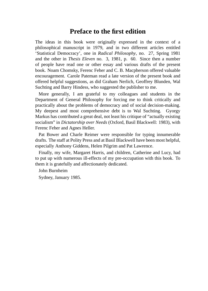# **Preface to the first edition**

The ideas in this book were originally expressed in the context of a philosophical manuscript in 1979, and in two different articles entitled 'Statistical Democracy', one in *Radical Philosophy*, no. 27, Spring 1981 and the other in *Thesis Eleven* no. 3, 1981, p. 60. Since then a number of people have read one or other essay and various drafts of the present book. Noam Chomsky, Ferenc Feher and C. B. Macpherson offered valuable encouragement. Carole Pateman read a late version of the present book and offered helpful suggestions, as did Graham Nerlich, Geoffrey Blunden, Wal Suchting and Barry Hindess, who suggested the publisher to me.

More generally, I am grateful to my colleagues and students in the Department of General Philosophy for forcing me to think critically and practically about the problems of democracy and of social decision-making. My deepest and most comprehensive debt is to Wal Suchting. Gyorgy Markus has contributed a great deal, not least his critique of "actually existing socialism" in *Dictatorship over Needs* (Oxford, Basil Blackwell: 1983), with Ferenc Feher and Agnes Heller.

Pat Bower and Charle Reimer were responsible for typing innumerable drafts. The staff at Polity Press and at Basil Blackwell have been most helpful, especially Anthony Giddens, Helen Pilgrim and Pat Lawrence.

Finally, my wife, Margaret Harris, and children, Catherine and Lucy, had to put up with numerous ill-effects of my pre-occupation with this book. To them it is gratefully and affectionately dedicated.

John Burnheim

Sydney, January 1985.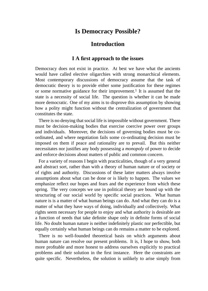# **Is Democracy Possible?**

### **Introduction**

#### **I A first approach to the issues**

Democracy does not exist in practice. At best we have what the ancients would have called elective oligarchies with strong monarchical elements. Most contemporary discussions of democracy assume that the task of democratic theory is to provide either some justification for these regimes or some normative guidance for their improvement.<sup>1</sup> It is assumed that the state is a necessity of social life. The question is whether it can be made more democratic. One of my aims is to disprove this assumption by showing how a polity might function without the centralization of government that constitutes the state.

There is no denying that social life is impossible without government. There must be decision-making bodies that exercise coercive power over groups and individuals. Moreover, the decisions of governing bodies must be coordinated, and where negotiation fails some co-ordinating decision must be imposed on them if peace and rationality are to prevail. But this neither necessitates nor justifies any body possessing a *monopoly* of power to decide and enforce decisions about matters of public and common concern.

For a variety of reasons I begin with practicalities, though of a very general and abstract sort, rather than with a theory of human nature or of society or of rights and authority. Discussions of these latter matters always involve assumptions about what can be done or is likely to happen. The values we emphasize reflect our hopes and fears and the experience from which these spring. The very concepts we use in political theory are bound up with the structuring of our social world by specific social practices. What human nature is is a matter of what human beings can do. And what they can do is a matter of what they have ways of doing, individually and collectively. What rights seem necessary for people to enjoy and what authority is desirable are a function of needs that take definite shape only in definite forms of social life. No doubt human nature is neither indefinitely plastic nor perfectible, but equally certainly what human beings can do remains a matter to be explored.

There is no well-founded theoretical basis on which arguments about human nature can resolve our present problems. It is, I hope to show, both more profitable and more honest to address ourselves explicitly to practical problems and their solution in the first instance. Here the constraints are quite specific. Nevertheless, the solution is unlikely to arise simply from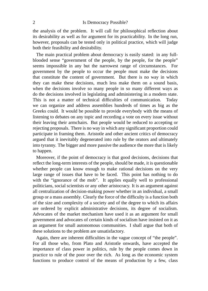the analysis of the problem. It will call for philosophical reflection about its desirability as well as for argument for its practicability. In the long run, however, proposals can be tested only in political practice, which will judge both their feasibility and desirability.

The main practical problem about democracy is easily stated: in any fullblooded sense "government of the people, by the people, for the people" seems impossible in any but the narrowest range of circumstances. For government by the people to occur the people must make the decisions that constitute the content of government. But there is no way in which they can make these decisions, much less make them on a sound basis, when the decisions involve so many people in so many different ways as do the decisions involved in legislating and administering in a modern state. This is not a matter of technical difficulties of communication. Today we can organize and address assemblies hundreds of times as big as the Greeks could. It would be possible to provide everybody with the means of listening to debates on any topic and recording a vote on every issue without their leaving their armchairs. But people would be reduced to accepting or rejecting proposals. There is no way in which any significant proportion could participate in framing them. Aristotle and other ancient critics of democracy argued that it inevitably degenerated into rule by the orators and ultimately into tyranny. The bigger and more passive the audience the more that is likely to happen.

Moreover, if the point of democracy is that good decisions, decisions that reflect the long-term interests of the people, should be made, it is questionable whether people can know enough to make rational decisions on the very large range of issues that have to be faced. This point has nothing to do with the "ignorance of the mob". It applies equally well to professional politicians, social scientists or any other aristocracy. It is an argument against all centralization of decision-making power whether in an individual, a small group or a mass assembly. Clearly the force of the difficulty is a function both of the size and complexity of a society and of the degree to which its affairs are ordered by explicit administrative decisions, its degree of socialism. Advocates of the market mechanism have used it as an argument for small government and advocates of certain kinds of socialism have insisted on it as an argument for small autonomous communities. I shall argue that both of these solutions to the problem are unsatisfactory.

Again, there are inherent difficulties in the vague concept of "the people". For all those who, from Plato and Aristotle onwards, have accepted the importance of class power in politics, rule by the people comes down in practice to rule of the poor over the rich. As long as the economic system functions to produce control of the means of production by a few, class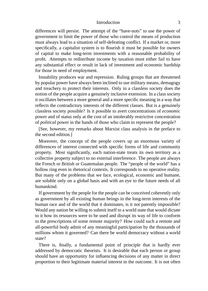differences will persist. The attempt of the "have-nots" to use the power of government to limit the power of those who control the means of production must always lead to a situation of self-defeating conflict. If a market or, more specifically, a capitalist system is to flourish it must be possible for owners of capital to make long-term investments with a reasonable probability of profit. Attempts to redistribute income by taxation must either fail to have any substantial effect or result in lack of investment and economic hardship for those in need of employment.

Instability produces war and repression. Ruling groups that are threatened by popular power have always been inclined to use military means, demagogy and treachery to protect their interests. Only in a classless society does the notion of the people acquire a genuinely inclusive extension. In a class society it oscillates between a more general and a more specific meaning in a way that reflects the contradictory interests of the different classes. But is a genuinely classless society possible? Is it possible to avert concentrations of *economic* power and of status only at the cost of an intolerably restrictive concentration of *political* power in the hands of those who claim to represent the people?

[See, however, my remarks about Marxist class analysis in the preface to the second edition.]

Moreover, the concept of the people covers up an enormous variety of differences of interest connected with specific forms of life and community property. Most significantly, each nation-state treats its own territory as a collective property subject to no external interference. The people are always the French or British or Guatemalan people. The "people of the world" has a hollow ring even in rhetorical contexts. It corresponds to no operative reality. But many of the problems that we face, ecological, economic and humane, are soluble only on a global basis and with an eye to the future needs of all humankind.

If government by the people for the people can be conceived coherently only as government by all existing human beings in the long-term interests of the human race and of the world that it dominates, is it not patently impossible? Would any nation be willing to submit itself to a world state that would dictate to it how its resources were to be used and disrupt its way of life to conform to the prescriptions of some remote majority? How could such a remote and all-powerful body admit of any meaningful participation by the thousands of millions whom it governed? Can there be world democracy without a world state?

There is, finally, a fundamental point of principle that is hardly ever addressed by democratic theorists. It is desirable that each person or group should have an opportunity for influencing decisions of any matter in direct proportion to their legitimate material interest in the outcome. It is not often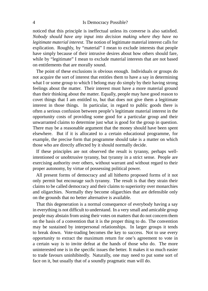noticed that this principle is ineffectual unless its converse is also satisfied. *Nobody should have any input into decision making where they have no legitimate material interest*. The notion of legitimate material interest calls for explication. Roughly, by "material" I mean to exclude interests that people have simply because of their intrusive desires about how others should fare, while by "legitimate" I mean to exclude material interests that are not based on entitlements that are morally sound.

The point of these exclusions is obvious enough. Individuals or groups do not acquire the sort of interest that entitles them to have a say in determining what I or some group to which I belong may do simply by their having strong feelings about the matter. Their interest must have a more material ground than their thinking about the matter. Equally, people may have good reason to covet things that I am entitled to, but that does not give them a legitimate interest in those things. In particular, in regard to public goods there is often a serious confusion between people's legitimate material interest in the opportunity costs of providing some good for a particular group and their unwarranted claims to determine just what is good for the group in question. There may be a reasonable argument that the money should have been spent elsewhere. But if it is allocated to a certain educational programme, for example, the precise form that programme should take is a matter on which those who are directly affected by it should normally decide.

If these principles are not observed the result is tyranny, perhaps wellintentioned or unobtrusive tyranny, but tyranny in a strict sense. People are exercising authority over others, without warrant and without regard to their proper autonomy, by virtue of possessing political power.

All present forms of democracy and all hitherto proposed forms of it not only permit but encourage such tyranny. The result is that they strain their claims to be called democracy and their claims to superiority over monarchies and oligarchies. Normally they become oligarchies that are defensible only on the grounds that no better alternative is available.

That this degeneration is a normal consequence of everybody having a say in everything is not difficult to understand. In a very small and amicable group people may abstain from using their votes on matters that do not concern them on the basis of a convention that it is the proper thing to do. The convention may be sustained by interpersonal relationships. In larger groups it tends to break down. Vote-trading becomes the key to success. Not to use every opportunity to extract the maximum return for one's agreement to vote in a certain way is to invite defeat at the hands of those who do. The more uninterested one is in the specific issues the better. It makes it so much easier to trade favours uninhibitedly. Naturally, one may need to put some sort of face on it, but usually that of a soundly pragmatic man will do.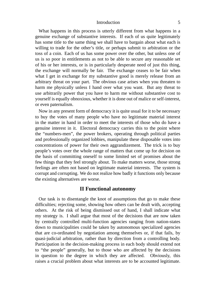What happens in this process is utterly different from what happens in a genuine exchange of substantive interests. If each of us quite legitimately has some title to the same thing we shall have to bargain about what each is willing to trade for the other's title, or perhaps submit to arbitration or the toss of a coin. Each of us has some power over the other, but unless one of us is so poor in entitlements as not to be able to secure any reasonable set of his or her interests, or is in particularly desperate need of just this thing, the exchange will normally be fair. The exchange ceases to be fair when what I get in exchange for my substantive good is merely release from an arbitrary threat on your part. The obvious case arises when you threaten to harm me physically unless I hand over what you want. But any threat to use arbitrarily power that you have to harm me without substantive cost to yourself is equally obnoxious, whether it is done out of malice or self-interest, or even paternalism.

Now in any present form of democracy it is quite usual for it to be necessary to buy the votes of many people who have no legitimate material interest in the matter in hand in order to meet the interests of those who do have a genuine interest in it. Electoral democracy carries this to the point where the "numbers-men", the power brokers, operating through political parties and professionally organized lobbies, manipulate these disposable votes into concentrations of power for their own aggrandizement. The trick is to buy people's votes over the whole range of matters that come up for decision on the basis of committing oneself to some limited set of promises about the few things that they feel strongly about. To make matters worse, those strong feelings are often not based on legitimate material interests. The system is corrupt and corrupting. We do not realize how badly it functions only because the existing alternatives are worse.

#### **II Functional autonomy**

Our task is to disentangle the knot of assumptions that go to make these difficulties; rejecting some, showing how others can be dealt with, accepting others. At the risk of being dismissed out of hand, I shall indicate what my strategy is. I shall argue that most of the decisions that are now taken by centrally controlled multi-function agencies ranging from nation-states down to municipalities could be taken by autonomous specialized agencies that are co-ordinated by negotiation among themselves or, if that fails, by quasi-judicial arbitration, rather than by direction from a controlling body. Participation in the decision-making process in each body should extend not to "the people" generally, but to those who are affected by the decisions in question to the degree in which they are affected. Obviously, this raises a crucial problem about what interests are to be accounted legitimate.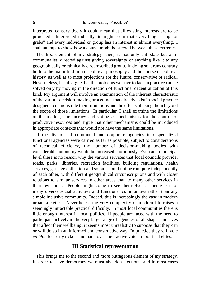#### 6 Is Democracy Possible?

Interpreted conservatively it could mean that all existing interests are to be protected. Interpreted radically, it might seem that everything is "up for grabs" and every individual or group has an interest in almost everything. I shall attempt to show how a course might be steered between these extremes.

The first element of my strategy, then, is not only anti-state but anticommunalist, directed against giving sovereignty or anything like it to any geographically or ethnically circumscribed group. In doing so it runs contrary both to the major tradition of political philosophy and the course of political history, as well as to most projections for the future, conservative or radical. Nevertheless, I shall argue that the problems we have to face in practice can be solved only by moving in the direction of functional decentralization of this kind. My argument will involve an examination of the inherent characteristic of the various decision-making procedures that already exist in social practice designed to demonstrate their limitations and the effects of using them beyond the scope of those limitations. In particular, I shall examine the limitations of the market, bureaucracy and voting as mechanisms for the control of productive resources and argue that other mechanisms could be introduced in appropriate contexts that would not have the same limitations.

If the division of communal and corporate agencies into specialized functional agencies were carried as far as possible, subject to considerations of technical efficiency, the number of decision-making bodies with considerable autonomy would be increased enormously. Even at a municipal level there is no reason why the various services that local councils provide, roads, parks, libraries, recreation facilities, building regulations, health services, garbage collection and so on, should not be run quite independently of each other, with different geographical circumscriptions and with closer relations to similar services in other areas than to many other services in their own area. People might come to see themselves as being part of many diverse social activities and functional communities rather than any simple inclusive community. Indeed, this is increasingly the case in modern urban societies. Nevertheless the very complexity of modern life raises a seemingly intractable practical difficulty. In most local communities there is little enough interest in local politics. If people are faced with the need to participate actively in the very large range of agencies of all shapes and sizes that affect their wellbeing, it seems most unrealistic to suppose that they can or will do so in an informed and constructive way. In practice they will vote *en bloc* for party tickets and hand over their active voice to political elites.

#### **III Statistical representation**

This brings me to the second and more outrageous element of my strategy. In order to have democracy we must abandon elections, and in most cases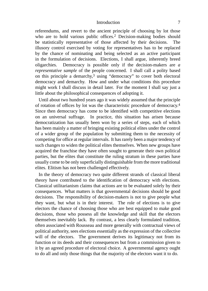referendums, and revert to the ancient principle of choosing by lot those who are to hold various public offices.<sup>2</sup> Decision-making bodies should be statistically representative of those affected by their decisions. The illusory control exercised by voting for representatives has to be replaced by the chance of nominating and being selected as an active participant in the formulation of decisions. Elections, I shall argue, inherently breed oligarchies. Democracy is possible only if the decision-makers are *a representative sample* of the people concerned. I shall call a polity based on this principle a demarchy, $3$  using "democracy" to cover both electoral democracy and demarchy. How and under what conditions this procedure might work I shall discuss in detail later. For the moment I shall say just a little about the philosophical consequences of adopting it.

Until about two hundred years ago it was widely assumed that the principle of rotation of offices by lot was the characteristic procedure of democracy.4 Since then democracy has come to be identified with competitive elections on an universal suffrage. In practice, this situation has arisen because democratization has usually been won by a series of steps, each of which has been mainly a matter of bringing existing political elites under the control of a wider group of the population by submitting them to the necessity of competing for office at regular intervals. It has rarely been a major tendency of such changes to widen the political elites themselves. When new groups have acquired the franchise they have often sought to generate their own political parties, but the elites that constitute the ruling stratum in these parties have usually come to be only superficially distinguishable from the more traditional elites. Elitism has not been challenged effectively.

In the theory of democracy two quite different strands of classical liberal theory have contributed to the identification of democracy with elections. Classical utilitarianism claims that actions are to be evaluated solely by their consequences. What matters is that governmental decisions should be good decisions. The responsibility of decision-makers is not to give people what they want, but what is in their interest. The role of elections is to give electors the chance of choosing those who are best equipped to make good decisions, those who possess all the knowledge and skill that the electors themselves inevitably lack. By contrast, a less clearly formulated tradition, often associated with Rousseau and more generally with contractual views of political authority, sees elections essentially as the expression of the collective will of the electors. The government derives its legitimacy not from its function or its deeds and their consequences but from a commission given to it by an agreed procedure of electoral choice. A governmental agency ought to do all and only those things that the majority of the electors want it to do.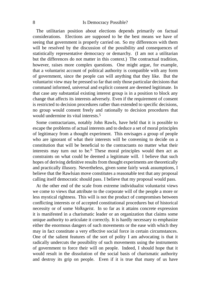#### 8 Is Democracy Possible?

The utilitarian position about elections depends primarily on factual considerations. Elections are supposed to be the best means we have of seeing that government is properly carried on. So my differences with them will be resolved by the discussion of the possibility and consequences of statistically representative democracy or demarchy. (I am not a utilitarian but the differences do not matter in this context.) The contractual tradition, however, raises more complex questions. One might argue, for example, that a voluntarist account of political authority is compatible with any form of government, since the people can will anything that they like. But the voluntarist view may be pressed so far that only those particular decisions that command informed, universal and explicit consent are deemed legitimate. In that case any substantial existing interest group is in a position to block any change that affects its interests adversely. Even if the requirement of consent is restricted to decision procedures rather than extended to specific decisions, no group would consent freely and rationally to decision procedures that would undermine its vital interests.<sup>5</sup>

Some contractarians, notably John Rawls, have held that it is possible to escape the problems of actual interests and to deduce a set of moral principles of legitimacy from a thought experiment. This envisages a group of people who are ignorant of what their interests will be convening to decide on a constitution that will be beneficial to the contractants no matter what their interests may turn out to be.6 These moral principles would then act as constraints on what could be deemed a legitimate will. I believe that such hopes of deriving definitive results from thought experiments are theoretically and practically illusory. Nevertheless, given some fairly weak assumptions, I believe that the Rawlsian move constitutes a reasonable test that any proposal calling itself democratic should pass. I believe that my proposal would pass.

At the other end of the scale from extreme individualist voluntarist views we come to views that attribute to the corporate will of the people a more or less mystical rightness. This will is not the product of compromises between conflicting interests or of accepted constitutional procedures but of historical necessity or of some *Volksgeist*. In so far as it attains concrete expression it is manifested in a charismatic leader or an organization that claims some unique authority to articulate it correctly. It is hardly necessary to emphasize either the enormous dangers of such movements or the ease with which they may in fact constitute a very effective social force in certain circumstances. One of the salient features of the sort of polity I am advocating is that it radically undercuts the possibility of such movements using the instruments of government to force their will on people. Indeed, I should hope that it would result in the dissolution of the social basis of charismatic authority and destroy its grip on people. Even if it is true that many of us have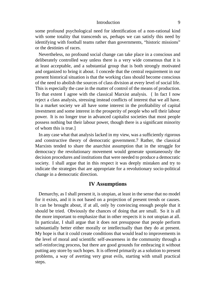some profound psychological need for identification of a non-rational kind with some totality that transcends us, perhaps we can satisfy this need by identifying with football teams rather than governments, "historic missions" or the destinies of races.

Nevertheless, no profound social change can take place in a conscious and deliberately controlled way unless there is a very wide consensus that it is at least acceptable, and a substantial group that is both strongly motivated and organized to bring it about. I concede that the central requirement in our present historical situation is that the working class should become conscious of the need to abolish the sources of class division at every level of social life. This is especially the case in the matter of control of the means of production. To that extent I agree with the classical Marxist analysis. { In fact I now reject a class analysis, stressing instead conflicts of interest that we all have. In a market society we all have some interest in the profitability of capital investment and some interest in the prosperity of people who sell their labour power. It is no longer true in advanced capitalist societies that most people possess nothing but their labour power, though there is a significant minority of whom this is true.]

In any case what that analysis lacked in my view, was a sufficiently rigorous and constructive theory of democratic government.7 Rather, the classical Marxists tended to share the anarchist assumption that in the struggle for democracy the revolutionary movement would generate spontaneously the decision procedures and institutions that were needed to produce a democratic society. I shall argue that in this respect it was deeply mistaken and try to indicate the strategies that are appropriate for a revolutionary socio-political change in a democratic direction.

#### **IV Assumptions**

Demarchy, as I shall present it, is utopian, at least in the sense that no model for it exists, and it is not based on a projection of present trends or causes. It can be brought about, if at all, only by convincing enough people that it should be tried. Obviously the chances of doing that are small. So it is all the more important to emphasize that in other respects it is not utopian at all. In particular, I shall argue that it does not presuppose that people perform substantially better either morally or intellectually than they do at present. My hope is that it could create conditions that would lead to improvements in the level of moral and scientific self-awareness in the community through a self-reinforcing process, but there are good grounds for embracing it without putting any store by such hopes. It is offered primarily as a solution to present problems, a way of averting very great evils, starting with small practical steps.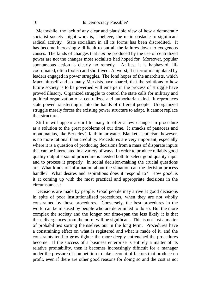#### 10 Is Democracy Possible?

Meanwhile, the lack of any clear and plausible view of how a democratic socialist society might work is, I believe, the main obstacle to significant radical activity. State socialism in all its forms has been discredited. It has become increasingly difficult to put all the failures down to exogenous causes. The kinds of changes that *can* be produced by the use of centralized power are not the changes most socialists had hoped for. Moreover, popular spontaneous action is clearly no remedy. At best it is haphazard, illcoordinated, often foolish and shortlived. At worst, it is terror manipulated by leaders engaged in power struggles. The fond hopes of the anarchists, which Marx himself and so many Marxists have shared, that the solutions to how future society is to be governed will emerge in the process of struggle have proved illusory. Organized struggle to control the state calls for military and political organization of a centralized and authoritarian kind. It reproduces state power transferring it into the hands of different people. Unorganized struggle merely forces the existing power structure to adapt. It cannot replace that structure.

Still it will appear absurd to many to offer a few changes in procedure as a solution to the great problems of our time. It smacks of panaceas and monomanias, like Berkeley's faith in tar water. Blanket scepticism, however, is no more rational than credulity. Procedures are very important, especially where it is a question of producing decisions from a mass of disparate inputs that can be interrelated in a variety of ways. In order to produce reliably good quality output a sound procedure is needed both to select good quality input and to process it properly. In social decision-making the crucial questions are, What kinds of information about the situation can the decision process handle? What desires and aspirations does it respond to? How good is it at coming up with the most practical and appropriate decisions in the circumstances?

Decisions are made by people. Good people may arrive at good decisions in spite of poor institutionalized procedures, when they are not wholly constrained by those procedures. Conversely, the best procedures in the world can be misused by people who are determined to do so. But the more complex the society and the longer our time-span the less likely it is that these divergences from the norm will be significant. This is not just a matter of probabilities sorting themselves out in the long term. Procedures have a constraining effect on what is registered and what is made of it, and the constraints tend to grow tighter the more deeply entrenched the procedures become. If the success of a business enterprise is entirely a matter of its relative profitability, then it becomes increasingly difficult for a manager under the pressure of competition to take account of factors that produce no profit, even if there are other good reasons for doing so and the cost is not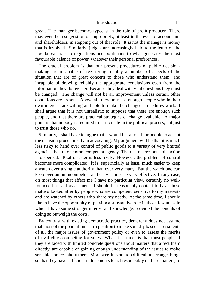great. The manager becomes typecast in the role of profit producer. There may even be a suggestion of impropriety, at least in the eyes of accountants and shareholders, in stepping out of that role. It is not the manager's money that is involved. Similarly, judges are increasingly held to the letter of the law, bureaucrats to regulations and politicians to what generates the most favourable balance of power, whatever their personal preferences.

The crucial problem is that our present procedures of public decisionmaking are incapable of registering reliably a number of aspects of the situation that are of great concern to those who understand them, and incapable of drawing reliably the appropriate conclusions even from the information they do register. Because they deal with vital questions they must be changed. The change will not be an improvement unless certain other conditions are present. Above all, there must be enough people who in their own interests are willing and able to make the changed procedures work. I shall argue that it is not unrealistic to suppose that there are enough such people, and that there are practical strategies of change available. A major point is that nobody is required to participate in the political process, but just to trust those who do.

Similarly, I shall have to argue that it would be rational for people to accept the decision procedures I am advocating. My argument will be that it is much less risky to hand over control of public goods to a variety of very limited agencies than to one omnicompetent agency. The risk of irresponsible action is dispersed. Total disaster is less likely. However, the problem of control becomes more complicated. It is, superficially at least, much easier to keep a watch over a single authority than over very many. But the watch one can keep over an omnicompetent authority cannot be very effective. In any case, on most things that affect me I have no particular view, certainly no wellfounded basis of assessment. I should be reasonably content to have those matters looked after by people who are competent, sensitive to my interests and are watched by others who share my needs. At the same time, I should like to have the opportunity of playing a substantive role in those few areas in which I have some stronger interest and knowledge, provided the benefits of doing so outweigh the costs.

By contrast with existing democratic practice, demarchy does not assume that most of the population is in a position to make soundly based assessments of all the major issues of government policy or even to assess the merits of rival elites competing for votes. What it assumes is that most people, if they are faced with limited concrete questions about matters that affect them directly, are capable of gaining enough understanding of the issues to make sensible choices about them. Moreover, it is not too difficult to arrange things so that they have sufficient inducements to act responsibly in these matters, to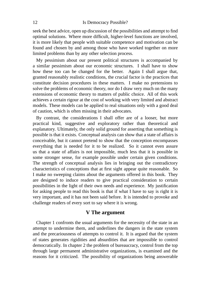seek the best advice, open up discussion of the possibilities and attempt to find optimal solutions. Where more difficult, higher-level functions are involved, it is more likely that people with suitable competence and motivation can be found and chosen by and among those who have worked together on more limited problems than by any other selection process.

My pessimism about our present political structures is accompanied by a similar pessimism about our economic structures. I shall have to show how these too can be changed for the better. Again I shall argue that, granted reasonably realistic conditions, the crucial factor is the practices that constitute decision procedures in these matters. I make no pretensions to solve the problems of economic theory, nor do I draw very much on the many extensions of economic theory to matters of public choice. All of this work achieves a certain rigour at the cost of working with very limited and abstract models. These models can be applied to real situations only with a good deal of caution, which is often missing in their advocates.

By contrast, the considerations I shall offer are of a looser, but more practical kind, suggestive and exploratory rather than theoretical and explanatory. Ultimately, the only solid ground for asserting that something is possible is that it exists. Conceptual analysis can show that a state of affairs is conceivable, but it cannot pretend to show that the conception encompasses everything that is needed for it to be realized. So it cannot even assure us that a state of affairs is not impossible, much less that it is possible in some stronger sense, for example possible under certain given conditions. The strength of conceptual analysis lies in bringing out the contradictory characteristics of conceptions that at first sight appear quite reasonable. So I make no sweeping claims about the arguments offered in this book. They are designed to induce readers to give practical consideration to certain possibilities in the light of their own needs and experience. My justification for asking people to read this book is that if what I have to say is right it is very important, and it has not been said before. It is intended to provoke and challenge readers of every sort to say where it is wrong.

#### **V The argument**

Chapter 1 confronts the usual arguments for the necessity of the state in an attempt to undermine them, and underlines the dangers in the state system and the precariousness of attempts to control it. It is argued that the system of states generates rigidities and absurdities that are impossible to control democratically. In chapter 2 the problem of bureaucracy, control from the top through large permanent administrative organizations, is examined and the reasons for it criticized. The possibility of organizations being answerable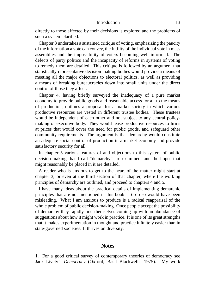directly to those affected by their decisions is explored and the problems of such a system clarified.

Chapter 3 undertakes a sustained critique of voting, emphasizing the paucity of the information a vote can convey, the futility of the individual vote in mass assemblies and the impossibility of voters becoming well informed. The defects of party politics and the incapacity of reforms in systems of voting to remedy them are detailed. This critique is followed by an argument that statistically representative decision making bodies would provide a means of meeting all the major objections to electoral politics, as well as providing a means of breaking bureaucracies down into small units under the direct control of those they affect.

Chapter 4, having briefly surveyed the inadequacy of a pure market economy to provide public goods and reasonable access for all to the means of production, outlines a proposal for a market society in which various productive resources are vested in different trustee bodies. These trustees would be independent of each other and not subject to any central policymaking or executive body. They would lease productive resources to firms at prices that would cover the need for public goods, and safeguard other community requirements. The argument is that demarchy would constitute an adequate social control of production in a market economy and provide satisfactory security for all.

In chapter 5 various features of and objections to this system of public decision-making that I call "demarchy" are examined, and the hopes that might reasonably be placed in it are detailed.

A reader who is anxious to get to the heart of the matter might start at chapter 3, or even at the third section of that chapter, where the working principles of demarchy are outlined, and proceed to chapters 4 and 5.

I have many ideas about the practical details of implementing demarchic principles that are not mentioned in this book. To do so would have been misleading. What I am anxious to produce is a radical reappraisal of the whole problem of public decision-making. Once people accept the possibility of demarchy they rapidly find themselves coming up with an abundance of suggestions about how it might work in practice. It is one of its great strengths that it makes experimentation in thought and practice infinitely easier than in state-governed societies. It thrives on diversity.

#### **Notes**

1. For a good critical survey of contemporary theories of democracy see Jack Lively's *Democracy* (Oxford, Basil Blackwell: 1975). My work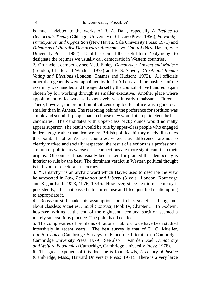is much indebted to the works of R. A. Dahl, especially *A Preface to Democratic Theory* (Chicago, University of Chicago Press: 1956); *Polyarchy: Participation and Opposition* (New Haven, Yale University Press: 1971) and *Dilemmas of Pluralist Democracy: Autonomy vs. Control* (New Haven, Yale University Press: 1982). Dahl has coined the useful term "polyarchy" to designate the regimes we usually call democratic in Western countries.

2. On ancient democracy see M. J. Finley, *Democracy, Ancient and Modern* (London, Chatto and Windus: 1973) and E. S. Stavely, *Greek and Roman Voting and Elections* (London, Thames and Hudson: 1972). All officials other than generals were appointed by lot in Athens, and the business of the assembly was handled and the agenda set by the council of five hundred, again chosen by lot, working through its smaller executive. Another place where appointment by lot was used extensively was in early renaissance Florence. There, however, the proportion of citizens eligible for office was a good deal smaller than in Athens. The reasoning behind the preference for sortition was simple and sound. If people had to choose they would attempt to elect the best candidates. The candidates with upper-class backgrounds would normally appear superior. The result would be rule by upper-class people who engaged in demagogy rather than democracy. British political history nicely illustrates this point. In other Western countries, where class differences are not so clearly marked and socially respected, the result of elections is a professional stratum of politicians whose class connections are more significant than their origins. Of course, it has usually been taken for granted that democracy is inferior to rule by the best. The dominant verdict in Western political thought is in favour of electoral aristocracy.

3. "Demarchy" is an archaic word which Hayek used to describe the view he advocated in *Law, Legislation and Liberty* (3 vols., London, Routledge and Kegan Paul: 1973, 1976, 1979). How ever, since he did not employ it persistently, it has not passed into current use and I feel justified in attempting to appropriate it.

4. Rousseau still made this assumption about class societies, though not about classless societies, *Social Contract*, Book IV, Chapter 3. To Godwin, however, writing at the end of the eighteenth century, sortition seemed a merely superstitious practice. The point had been lost.

5. The complexities of problems of rational public choice have been studied intensively in recent years. The best survey is that of D. C. Mueller, *Public Choice* (Cambridge Surveys of Economic Literature), (Cambridge, Cambridge University Press: 1979). See also H. Van den Doel, *Democracy and Welfare Economics* (Cambridge, Cambridge University Press: 1978).

6. The great exponent of this doctrine is John Rawls, *A Theory of Justice* (Cambridge, Mass., Harvard University Press: 1971). There is a very large